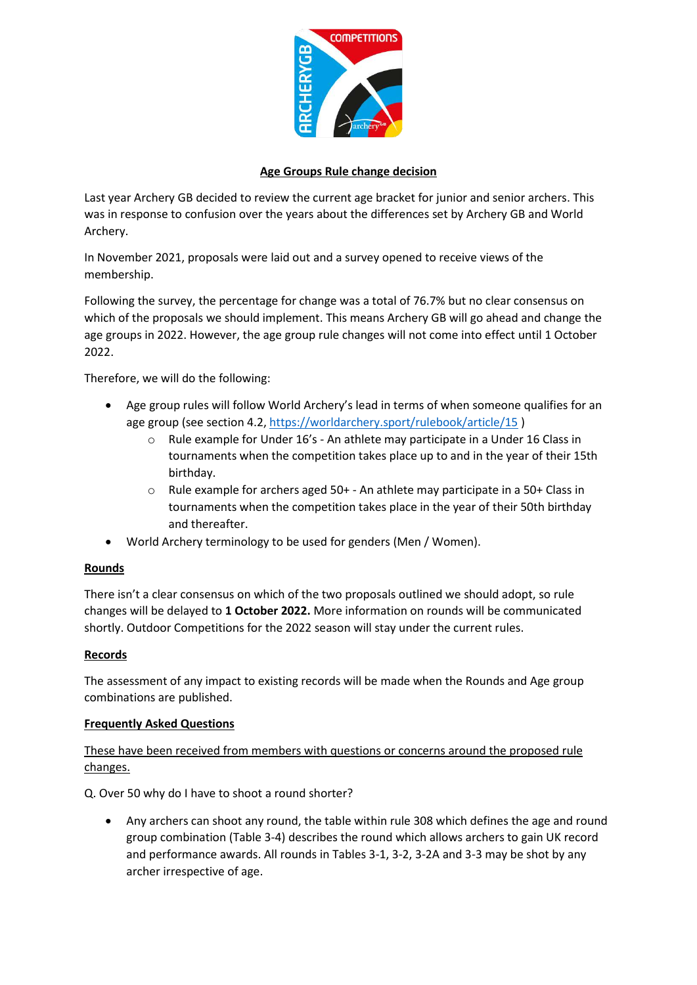

## **Age Groups Rule change decision**

Last year Archery GB decided to review the current age bracket for junior and senior archers. This was in response to confusion over the years about the differences set by Archery GB and World Archery.

In November 2021, proposals were laid out and a survey opened to receive views of the membership.

Following the survey, the percentage for change was a total of 76.7% but no clear consensus on which of the proposals we should implement. This means Archery GB will go ahead and change the age groups in 2022. However, the age group rule changes will not come into effect until 1 October 2022.

Therefore, we will do the following:

- Age group rules will follow World Archery's lead in terms of when someone qualifies for an age group (see section 4.2,<https://worldarchery.sport/rulebook/article/15>)
	- o Rule example for Under 16's An athlete may participate in a Under 16 Class in tournaments when the competition takes place up to and in the year of their 15th birthday.
	- $\circ$  Rule example for archers aged 50+ An athlete may participate in a 50+ Class in tournaments when the competition takes place in the year of their 50th birthday and thereafter.
- World Archery terminology to be used for genders (Men / Women).

## **Rounds**

There isn't a clear consensus on which of the two proposals outlined we should adopt, so rule changes will be delayed to **1 October 2022.** More information on rounds will be communicated shortly. Outdoor Competitions for the 2022 season will stay under the current rules.

## **Records**

The assessment of any impact to existing records will be made when the Rounds and Age group combinations are published.

## **Frequently Asked Questions**

These have been received from members with questions or concerns around the proposed rule changes.

Q. Over 50 why do I have to shoot a round shorter?

• Any archers can shoot any round, the table within rule 308 which defines the age and round group combination (Table 3-4) describes the round which allows archers to gain UK record and performance awards. All rounds in Tables 3-1, 3-2, 3-2A and 3-3 may be shot by any archer irrespective of age.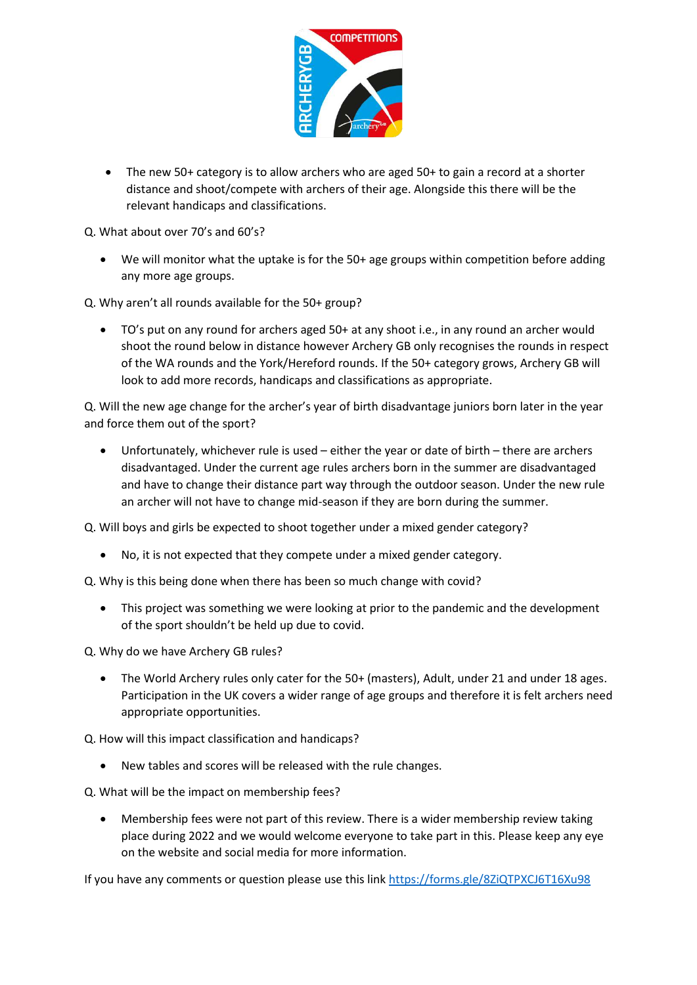

• The new 50+ category is to allow archers who are aged 50+ to gain a record at a shorter distance and shoot/compete with archers of their age. Alongside this there will be the relevant handicaps and classifications.

Q. What about over 70's and 60's?

• We will monitor what the uptake is for the 50+ age groups within competition before adding any more age groups.

Q. Why aren't all rounds available for the 50+ group?

• TO's put on any round for archers aged 50+ at any shoot i.e., in any round an archer would shoot the round below in distance however Archery GB only recognises the rounds in respect of the WA rounds and the York/Hereford rounds. If the 50+ category grows, Archery GB will look to add more records, handicaps and classifications as appropriate.

Q. Will the new age change for the archer's year of birth disadvantage juniors born later in the year and force them out of the sport?

• Unfortunately, whichever rule is used – either the year or date of birth – there are archers disadvantaged. Under the current age rules archers born in the summer are disadvantaged and have to change their distance part way through the outdoor season. Under the new rule an archer will not have to change mid-season if they are born during the summer.

Q. Will boys and girls be expected to shoot together under a mixed gender category?

• No, it is not expected that they compete under a mixed gender category.

Q. Why is this being done when there has been so much change with covid?

• This project was something we were looking at prior to the pandemic and the development of the sport shouldn't be held up due to covid.

Q. Why do we have Archery GB rules?

• The World Archery rules only cater for the 50+ (masters), Adult, under 21 and under 18 ages. Participation in the UK covers a wider range of age groups and therefore it is felt archers need appropriate opportunities.

Q. How will this impact classification and handicaps?

New tables and scores will be released with the rule changes.

Q. What will be the impact on membership fees?

• Membership fees were not part of this review. There is a wider membership review taking place during 2022 and we would welcome everyone to take part in this. Please keep any eye on the website and social media for more information.

If you have any comments or question please use this link<https://forms.gle/8ZiQTPXCJ6T16Xu98>